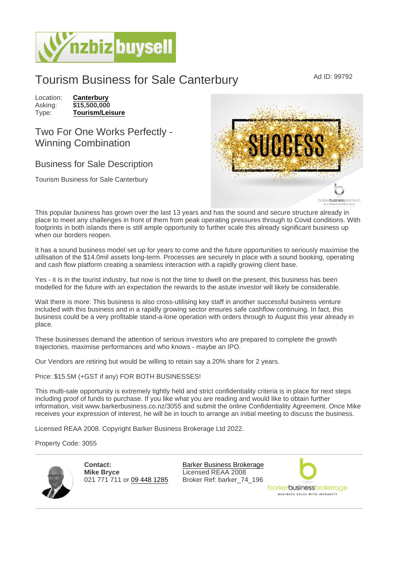## Tourism Business for Sale Canterbury Ad ID: 99792

Location: [Canterbury](https://www.nzbizbuysell.co.nz/businesses-for-sale/location/Canterbury) Asking: \$15,500,000<br>Type: Tourism/Leis [Tourism/Leisure](https://www.nzbizbuysell.co.nz/businesses-for-sale/Tourism--Leisure/New-Zealand)

## Two For One Works Perfectly - Winning Combination

## Business for Sale Description

Tourism Business for Sale Canterbury

This popular business has grown over the last 13 years and has the sound and secure structure already in place to meet any challenges in front of them from peak operating pressures through to Covid conditions. With footprints in both islands there is still ample opportunity to further scale this already significant business up when our borders reopen.

It has a sound business model set up for years to come and the future opportunities to seriously maximise the utilisation of the \$14.0mil assets long-term. Processes are securely in place with a sound booking, operating and cash flow platform creating a seamless interaction with a rapidly growing client base.

Yes - it is in the tourist industry, but now is not the time to dwell on the present, this business has been modelled for the future with an expectation the rewards to the astute investor will likely be considerable.

Wait there is more: This business is also cross-utilising key staff in another successful business venture included with this business and in a rapidly growing sector ensures safe cashflow continuing. In fact, this business could be a very profitable stand-a-lone operation with orders through to August this year already in place.

These businesses demand the attention of serious investors who are prepared to complete the growth trajectories, maximise performances and who knows - maybe an IPO.

Our Vendors are retiring but would be willing to retain say a 20% share for 2 years.

Price: \$15.5M (+GST if any) FOR BOTH BUSINESSES!

This multi-sale opportunity is extremely tightly held and strict confidentiality criteria is in place for next steps including proof of funds to purchase. If you like what you are reading and would like to obtain further information, visit www.barkerbusiness.co.nz/3055 and submit the online Confidentiality Agreement. Once Mike receives your expression of interest, he will be in touch to arrange an initial meeting to discuss the business.

Licensed REAA 2008. Copyright Barker Business Brokerage Ltd 2022.

Property Code: 3055

Contact: Mike Bryce 021 771 711 or [09 448 1285](tel:09 448 1285)

[Barker Business Brokerage](https://www.nzbizbuysell.co.nz/business-brokers/96/barker-business-brokerage/brokerage-listings) Licensed REAA 2008 Broker Ref: barker\_74\_196